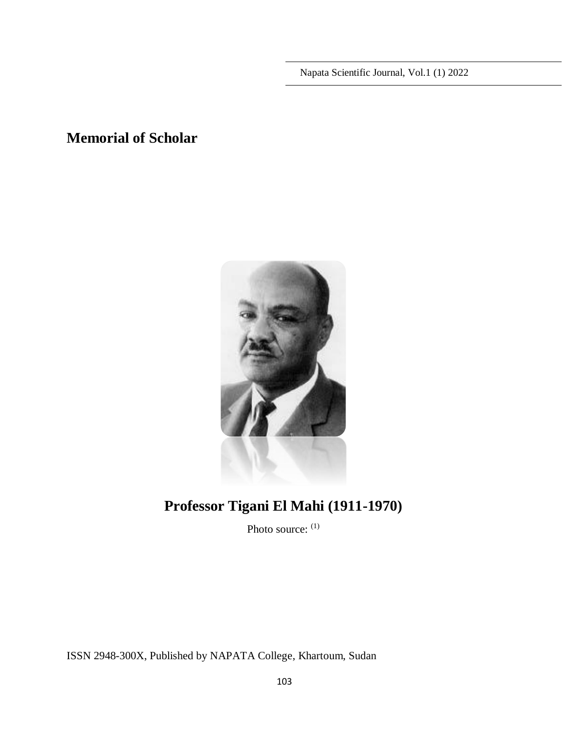Napata Scientific Journal, Vol.1 (1) 2022

# **Memorial of Scholar**



# **Professor Tigani El Mahi (1911-1970)**

Photo source: (1)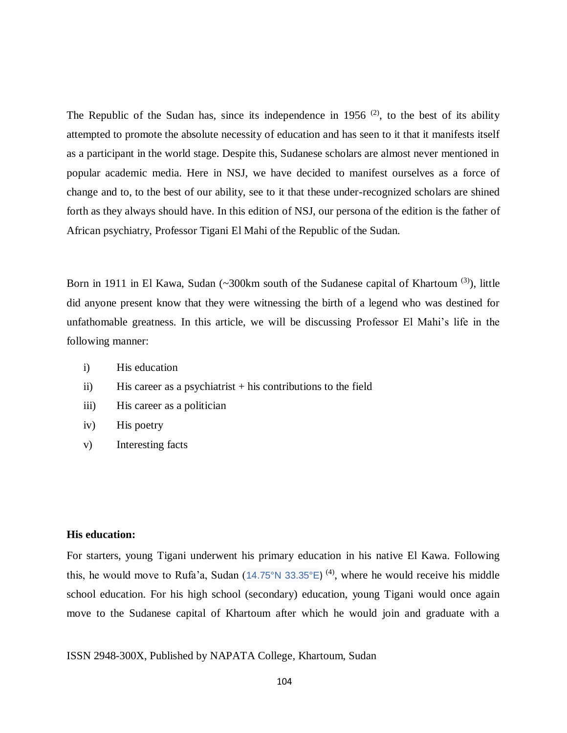The Republic of the Sudan has, since its independence in 1956  $(2)$ , to the best of its ability attempted to promote the absolute necessity of education and has seen to it that it manifests itself as a participant in the world stage. Despite this, Sudanese scholars are almost never mentioned in popular academic media. Here in NSJ, we have decided to manifest ourselves as a force of change and to, to the best of our ability, see to it that these under-recognized scholars are shined forth as they always should have. In this edition of NSJ, our persona of the edition is the father of African psychiatry, Professor Tigani El Mahi of the Republic of the Sudan.

Born in 1911 in El Kawa, Sudan (~300km south of the Sudanese capital of Khartoum<sup>(3)</sup>), little did anyone present know that they were witnessing the birth of a legend who was destined for unfathomable greatness. In this article, we will be discussing Professor El Mahi's life in the following manner:

- i) His education
- $ii)$  His career as a psychiatrist  $+$  his contributions to the field
- iii) His career as a politician
- iv) His poetry
- v) Interesting facts

# **His education:**

For starters, young Tigani underwent his primary education in his native El Kawa. Following this, he would move to Rufa'a, Sudan ([14.75°N 33.35°E](https://tools.wmflabs.org/geohack/geohack.php?language=ar&pagename=%D8%B1%D9%81%D8%A7%D8%B9%D8%A9¶ms=14.75_N_33.35_E_))<sup>(4)</sup>, where he would receive his middle school education. For his high school (secondary) education, young Tigani would once again move to the Sudanese capital of Khartoum after which he would join and graduate with a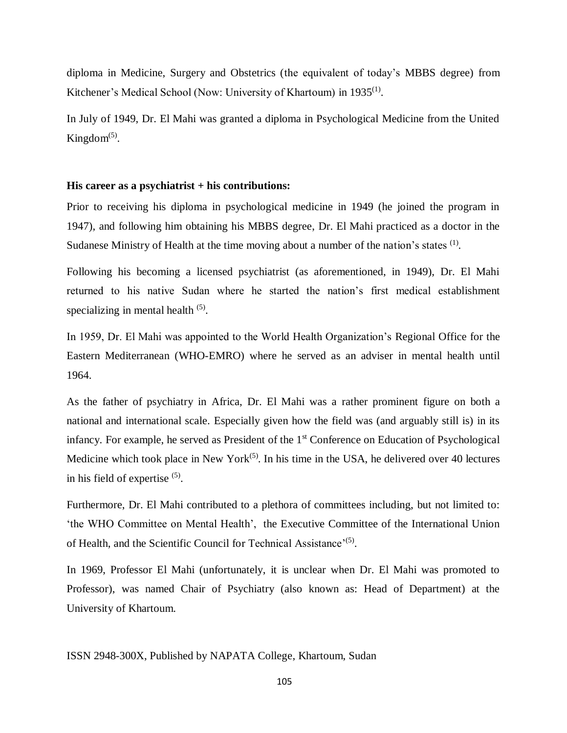diploma in Medicine, Surgery and Obstetrics (the equivalent of today's MBBS degree) from Kitchener's Medical School (Now: University of Khartoum) in 1935<sup>(1)</sup>.

In July of 1949, Dr. El Mahi was granted a diploma in Psychological Medicine from the United Kingdom $(5)$ .

#### **His career as a psychiatrist + his contributions:**

Prior to receiving his diploma in psychological medicine in 1949 (he joined the program in 1947), and following him obtaining his MBBS degree, Dr. El Mahi practiced as a doctor in the Sudanese Ministry of Health at the time moving about a number of the nation's states  $<sup>(1)</sup>$ .</sup>

Following his becoming a licensed psychiatrist (as aforementioned, in 1949), Dr. El Mahi returned to his native Sudan where he started the nation's first medical establishment specializing in mental health  $(5)$ .

In 1959, Dr. El Mahi was appointed to the World Health Organization's Regional Office for the Eastern Mediterranean (WHO-EMRO) where he served as an adviser in mental health until 1964.

As the father of psychiatry in Africa, Dr. El Mahi was a rather prominent figure on both a national and international scale. Especially given how the field was (and arguably still is) in its infancy. For example, he served as President of the 1<sup>st</sup> Conference on Education of Psychological Medicine which took place in New York<sup> $(5)$ </sup>. In his time in the USA, he delivered over 40 lectures in his field of expertise  $(5)$ .

Furthermore, Dr. El Mahi contributed to a plethora of committees including, but not limited to: 'the WHO Committee on Mental Health', the Executive Committee of the International Union of Health, and the Scientific Council for Technical Assistance'<sup>(5)</sup>.

In 1969, Professor El Mahi (unfortunately, it is unclear when Dr. El Mahi was promoted to Professor), was named Chair of Psychiatry (also known as: Head of Department) at the University of Khartoum.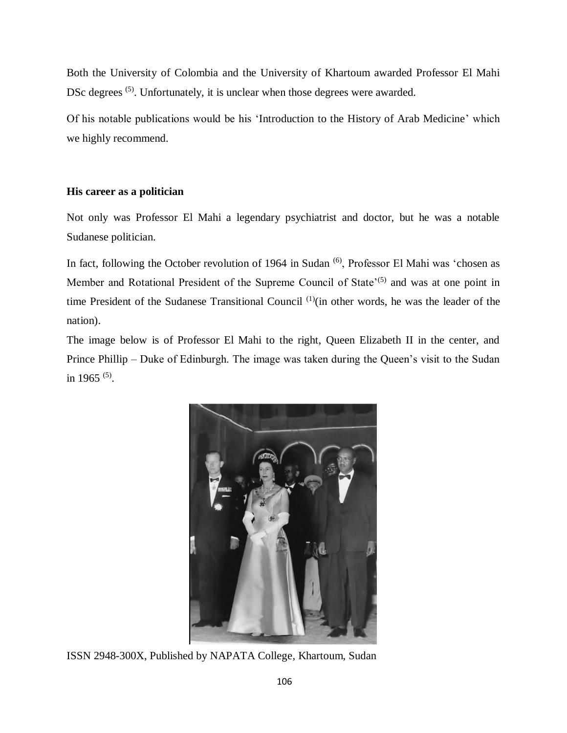Both the University of Colombia and the University of Khartoum awarded Professor El Mahi DSc degrees <sup>(5)</sup>. Unfortunately, it is unclear when those degrees were awarded.

Of his notable publications would be his 'Introduction to the History of Arab Medicine' which we highly recommend.

# **His career as a politician**

Not only was Professor El Mahi a legendary psychiatrist and doctor, but he was a notable Sudanese politician.

In fact, following the October revolution of 1964 in Sudan <sup>(6)</sup>, Professor El Mahi was 'chosen as Member and Rotational President of the Supreme Council of State<sup>'(5)</sup> and was at one point in time President of the Sudanese Transitional Council  $(1)(i)$  other words, he was the leader of the nation).

The image below is of Professor El Mahi to the right, Queen Elizabeth II in the center, and Prince Phillip – Duke of Edinburgh. The image was taken during the Queen's visit to the Sudan in 1965 (5) .

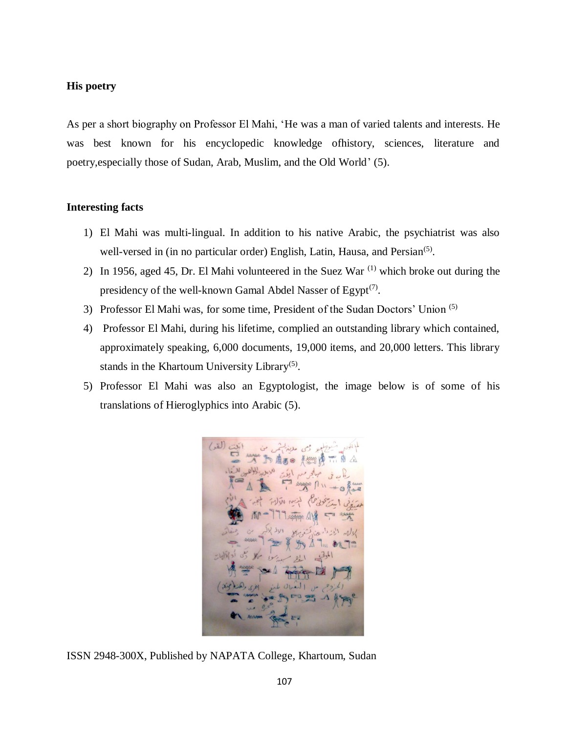# **His poetry**

As per a short biography on Professor El Mahi, 'He was a man of varied talents and interests. He was best known for his encyclopedic knowledge ofhistory, sciences, literature and poetry,especially those of Sudan, Arab, Muslim, and the Old World' (5).

#### **Interesting facts**

- 1) El Mahi was multi-lingual. In addition to his native Arabic, the psychiatrist was also well-versed in (in no particular order) English, Latin, Hausa, and Persian<sup>(5)</sup>.
- 2) In 1956, aged 45, Dr. El Mahi volunteered in the Suez War<sup> $(1)$ </sup> which broke out during the presidency of the well-known Gamal Abdel Nasser of Egypt<sup>(7)</sup>.
- 3) Professor El Mahi was, for some time, President of the Sudan Doctors' Union <sup>(5)</sup>
- 4) Professor El Mahi, during his lifetime, complied an outstanding library which contained, approximately speaking, 6,000 documents, 19,000 items, and 20,000 letters. This library stands in the Khartoum University Library<sup>(5)</sup>.
- 5) Professor El Mahi was also an Egyptologist, the image below is of some of his translations of Hieroglyphics into Arabic (5).

● 唐西田 美然 the with

ISSN 2948-300X, Published by NAPATA College, Khartoum, Sudan